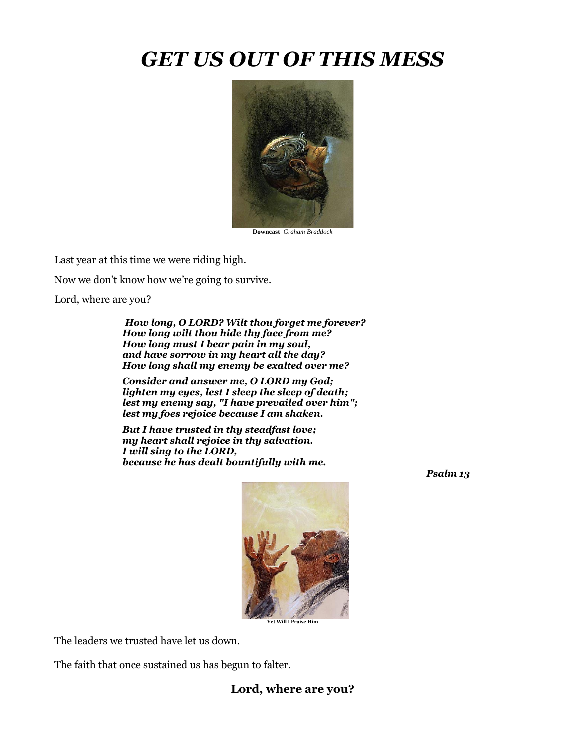## *GET US OUT OF THIS MESS*



**Downcast** *Graham Braddock*

Last year at this time we were riding high.

Now we don't know how we're going to survive.

Lord, where are you?

*How long, O LORD? Wilt thou forget me forever? How long wilt thou hide thy face from me? How long must I bear pain in my soul, and have sorrow in my heart all the day? How long shall my enemy be exalted over me?*

*Consider and answer me, O LORD my God; lighten my eyes, lest I sleep the sleep of death; lest my enemy say, "I have prevailed over him"; lest my foes rejoice because I am shaken.*

*But I have trusted in thy steadfast love; my heart shall rejoice in thy salvation. I will sing to the LORD, because he has dealt bountifully with me.*





The leaders we trusted have let us down.

The faith that once sustained us has begun to falter.